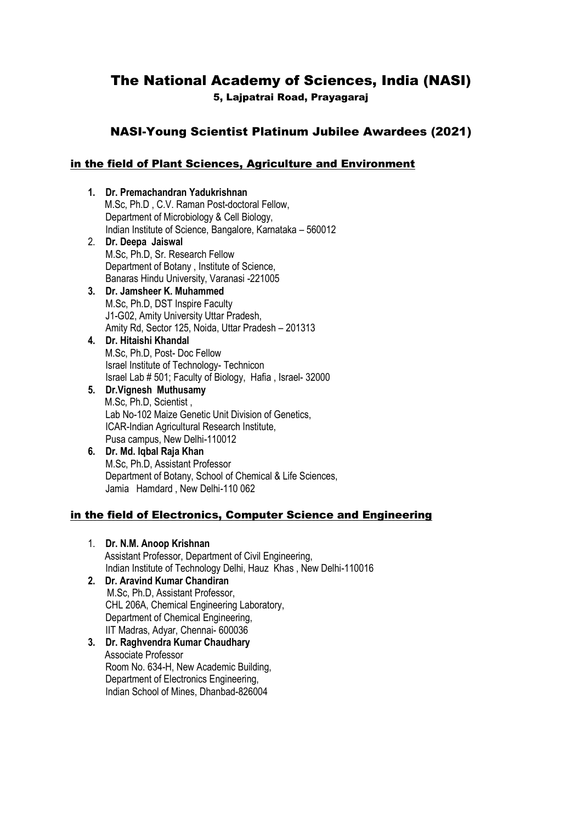# The National Academy of Sciences, India (NASI) 5, Lajpatrai Road, Prayagaraj

## NASI-Young Scientist Platinum Jubilee Awardees (2021)

## in the field of Plant Sciences, Agriculture and Environment

**1. Dr. Premachandran Yadukrishnan** M.Sc, Ph.D , C.V. Raman Post-doctoral Fellow, Department of Microbiology & Cell Biology, Indian Institute of Science, Bangalore, Karnataka – 560012 2. **Dr. Deepa Jaiswal** M.Sc, Ph.D, Sr. Research Fellow Department of Botany , Institute of Science, Banaras Hindu University, Varanasi -221005 **3. Dr. Jamsheer K. Muhammed** M.Sc, Ph.D, DST Inspire Faculty J1-G02, Amity University Uttar Pradesh, Amity Rd, Sector 125, Noida, Uttar Pradesh – 201313 **4. Dr. Hitaishi Khandal** M.Sc, Ph.D, Post- Doc Fellow Israel Institute of Technology- Technicon Israel Lab # 501; Faculty of Biology, Hafia , Israel- 32000 **5. Dr.Vignesh Muthusamy** M.Sc, Ph.D, Scientist , Lab No-102 Maize Genetic Unit Division of Genetics, ICAR-Indian Agricultural Research Institute, Pusa campus, New Delhi-110012

### **6. Dr. Md. Iqbal Raja Khan** M.Sc, Ph.D, Assistant Professor Department of Botany, School of Chemical & Life Sciences, Jamia Hamdard , New Delhi-110 062

## in the field of Electronics, Computer Science and Engineering

- 1. **Dr. N.M. Anoop Krishnan** Assistant Professor, Department of Civil Engineering, Indian Institute of Technology Delhi, Hauz Khas , New Delhi-110016
- **2. Dr. Aravind Kumar Chandiran** M.Sc, Ph.D, Assistant Professor, CHL 206A, Chemical Engineering Laboratory, Department of Chemical Engineering, IIT Madras, Adyar, Chennai- 600036
- **3. Dr. Raghvendra Kumar Chaudhary** Associate Professor Room No. 634-H, New Academic Building, Department of Electronics Engineering, Indian School of Mines, Dhanbad-826004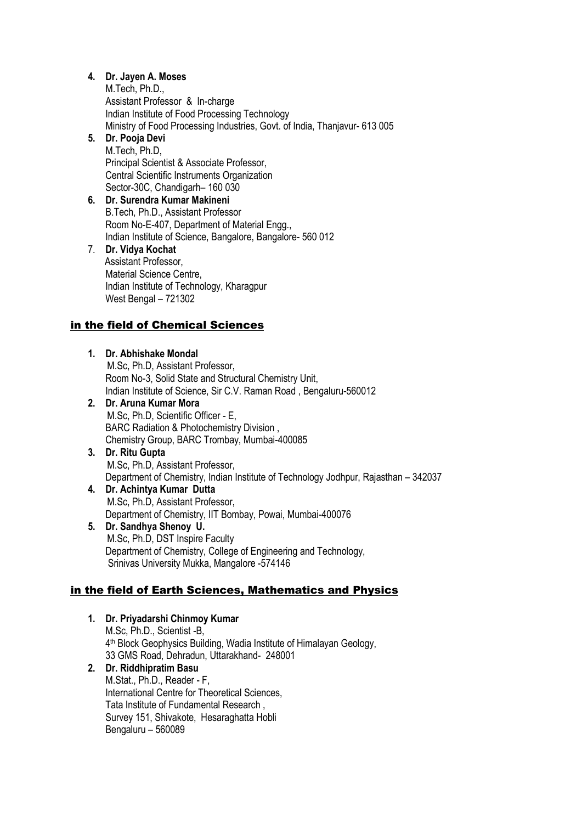## **4. Dr. Jayen A. Moses**

M.Tech, Ph.D., Assistant Professor & In-charge Indian Institute of Food Processing Technology Ministry of Food Processing Industries, Govt. of India, Thanjavur- 613 005

#### **5. Dr. Pooja Devi** M.Tech, Ph.D, Principal Scientist & Associate Professor, Central Scientific Instruments Organization

### Sector-30C, Chandigarh– 160 030 **6. Dr. Surendra Kumar Makineni** B.Tech, Ph.D., Assistant Professor Room No-E-407, Department of Material Engg., Indian Institute of Science, Bangalore, Bangalore- 560 012

7. **Dr. Vidya Kochat** Assistant Professor, Material Science Centre, Indian Institute of Technology, Kharagpur West Bengal – 721302

## in the field of Chemical Sciences

**1. Dr. Abhishake Mondal** M.Sc, Ph.D, Assistant Professor, Room No-3, Solid State and Structural Chemistry Unit, Indian Institute of Science, Sir C.V. Raman Road , Bengaluru-560012 **2. Dr. Aruna Kumar Mora** M.Sc, Ph.D, Scientific Officer - E, BARC Radiation & Photochemistry Division , Chemistry Group, BARC Trombay, Mumbai-400085 **3. Dr. Ritu Gupta** M.Sc, Ph.D, Assistant Professor, Department of Chemistry, Indian Institute of Technology Jodhpur, Rajasthan – 342037 **4. Dr. Achintya Kumar Dutta** M.Sc, Ph.D, Assistant Professor, Department of Chemistry, IIT Bombay, Powai, Mumbai-400076 **5. Dr. Sandhya Shenoy U.** M.Sc, Ph.D, DST Inspire Faculty Department of Chemistry, College of Engineering and Technology, Srinivas University Mukka, Mangalore -574146

# in the field of Earth Sciences, Mathematics and Physics

**1. Dr. Priyadarshi Chinmoy Kumar** M.Sc, Ph.D., Scientist -B, 4 th Block Geophysics Building, Wadia Institute of Himalayan Geology, 33 GMS Road, Dehradun, Uttarakhand- 248001 **2. Dr. Riddhipratim Basu** M.Stat., Ph.D., Reader - F, International Centre for Theoretical Sciences, Tata Institute of Fundamental Research , Survey 151, Shivakote, Hesaraghatta Hobli Bengaluru – 560089